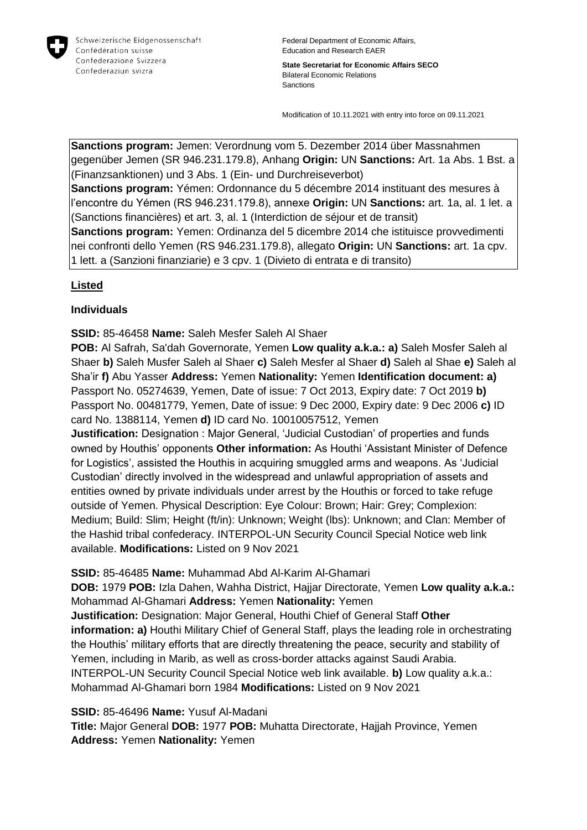

Federal Department of Economic Affairs, Education and Research EAER

**State Secretariat for Economic Affairs SECO** Bilateral Economic Relations **Sanctions** 

Modification of 10.11.2021 with entry into force on 09.11.2021

**Sanctions program:** Jemen: Verordnung vom 5. Dezember 2014 über Massnahmen gegenüber Jemen (SR 946.231.179.8), Anhang **Origin:** UN **Sanctions:** Art. 1a Abs. 1 Bst. a (Finanzsanktionen) und 3 Abs. 1 (Ein- und Durchreiseverbot) **Sanctions program:** Yémen: Ordonnance du 5 décembre 2014 instituant des mesures à l'encontre du Yémen (RS 946.231.179.8), annexe **Origin:** UN **Sanctions:** art. 1a, al. 1 let. a (Sanctions financières) et art. 3, al. 1 (Interdiction de séjour et de transit) **Sanctions program:** Yemen: Ordinanza del 5 dicembre 2014 che istituisce provvedimenti

nei confronti dello Yemen (RS 946.231.179.8), allegato **Origin:** UN **Sanctions:** art. 1a cpv. 1 lett. a (Sanzioni finanziarie) e 3 cpv. 1 (Divieto di entrata e di transito)

## **Listed**

## **Individuals**

**SSID:** 85-46458 **Name:** Saleh Mesfer Saleh Al Shaer

**POB:** Al Safrah, Sa'dah Governorate, Yemen **Low quality a.k.a.: a)** Saleh Mosfer Saleh al Shaer **b)** Saleh Musfer Saleh al Shaer **c)** Saleh Mesfer al Shaer **d)** Saleh al Shae **e)** Saleh al Sha'ir **f)** Abu Yasser **Address:** Yemen **Nationality:** Yemen **Identification document: a)**  Passport No. 05274639, Yemen, Date of issue: 7 Oct 2013, Expiry date: 7 Oct 2019 **b)**  Passport No. 00481779, Yemen, Date of issue: 9 Dec 2000, Expiry date: 9 Dec 2006 **c)** ID card No. 1388114, Yemen **d)** ID card No. 10010057512, Yemen

**Justification:** Designation : Major General, 'Judicial Custodian' of properties and funds owned by Houthis' opponents **Other information:** As Houthi 'Assistant Minister of Defence for Logistics', assisted the Houthis in acquiring smuggled arms and weapons. As 'Judicial Custodian' directly involved in the widespread and unlawful appropriation of assets and entities owned by private individuals under arrest by the Houthis or forced to take refuge outside of Yemen. Physical Description: Eye Colour: Brown; Hair: Grey; Complexion: Medium; Build: Slim; Height (ft/in): Unknown; Weight (lbs): Unknown; and Clan: Member of the Hashid tribal confederacy. INTERPOL-UN Security Council Special Notice web link available. **Modifications:** Listed on 9 Nov 2021

**SSID:** 85-46485 **Name:** Muhammad Abd Al-Karim Al-Ghamari

**DOB:** 1979 **POB:** Izla Dahen, Wahha District, Hajjar Directorate, Yemen **Low quality a.k.a.:**  Mohammad Al-Ghamari **Address:** Yemen **Nationality:** Yemen

**Justification:** Designation: Major General, Houthi Chief of General Staff **Other information: a)** Houthi Military Chief of General Staff, plays the leading role in orchestrating the Houthis' military efforts that are directly threatening the peace, security and stability of Yemen, including in Marib, as well as cross-border attacks against Saudi Arabia. INTERPOL-UN Security Council Special Notice web link available. **b)** Low quality a.k.a.: Mohammad Al-Ghamari born 1984 **Modifications:** Listed on 9 Nov 2021

## **SSID:** 85-46496 **Name:** Yusuf Al-Madani

**Title:** Major General **DOB:** 1977 **POB:** Muhatta Directorate, Hajjah Province, Yemen **Address:** Yemen **Nationality:** Yemen